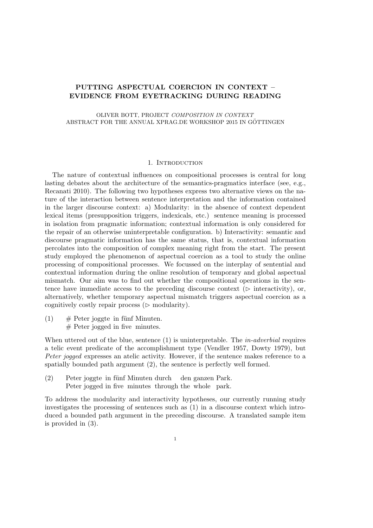# PUTTING ASPECTUAL COERCION IN CONTEXT – EVIDENCE FROM EYETRACKING DURING READING

OLIVER BOTT, PROJECT COMPOSITION IN CONTEXT ABSTRACT FOR THE ANNUAL XPRAG.DE WORKSHOP 2015 IN GÖTTINGEN

### 1. INTRODUCTION

The nature of contextual influences on compositional processes is central for long lasting debates about the architecture of the semantics-pragmatics interface (see, e.g., Recanati 2010). The following two hypotheses express two alternative views on the nature of the interaction between sentence interpretation and the information contained in the larger discourse context: a) Modularity: in the absence of context dependent lexical items (presupposition triggers, indexicals, etc.) sentence meaning is processed in isolation from pragmatic information; contextual information is only considered for the repair of an otherwise uninterpretable configuration. b) Interactivity: semantic and discourse pragmatic information has the same status, that is, contextual information percolates into the composition of complex meaning right from the start. The present study employed the phenomenon of aspectual coercion as a tool to study the online processing of compositional processes. We focussed on the interplay of sentential and contextual information during the online resolution of temporary and global aspectual mismatch. Our aim was to find out whether the compositional operations in the sentence have immediate access to the preceding discourse context ( $\triangleright$  interactivity), or, alternatively, whether temporary aspectual mismatch triggers aspectual coercion as a cognitively costly repair process  $($   $\triangleright$  modularity).

 $(1)$ # Peter jogged in five minutes. Peter joggte in fünf Minuten.

When uttered out of the blue, sentence  $(1)$  is uninterpretable. The *in-adverbial* requires a telic event predicate of the accomplishment type (Vendler 1957, Dowty 1979), but Peter jogged expresses an atelic activity. However, if the sentence makes reference to a spatially bounded path argument (2), the sentence is perfectly well formed.

(2) Peter joggte in fünf Minuten durch den ganzen Park. Peter jogged in five minutes through the whole park.

To address the modularity and interactivity hypotheses, our currently running study investigates the processing of sentences such as (1) in a discourse context which introduced a bounded path argument in the preceding discourse. A translated sample item is provided in (3).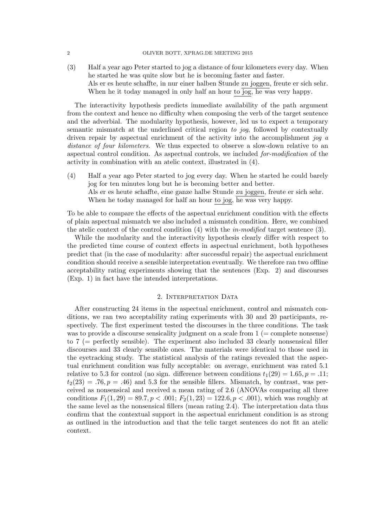(3) Half a year ago Peter started to jog a distance of four kilometers every day. When he started he was quite slow but he is becoming faster and faster. Als er es heute schaffte, in nur einer halben Stunde zu joggen, freute er sich sehr. When he it today managed in only half an hour to jog, he was very happy.

The interactivity hypothesis predicts immediate availability of the path argument from the context and hence no difficulty when composing the verb of the target sentence and the adverbial. The modularity hypothesis, however, led us to expect a temporary semantic mismatch at the underlined critical region to jog, followed by contextually driven repair by aspectual enrichment of the activity into the accomplishment jog a distance of four kilometers. We thus expected to observe a slow-down relative to an aspectual control condition. As aspectual controls, we included for-modification of the activity in combination with an atelic context, illustrated in (4).

(4) Half a year ago Peter started to jog every day. When he started he could barely jog for ten minutes long but he is becoming better and better. Als er es heute schaffte, eine ganze halbe Stunde zu joggen, freute er sich sehr. When he today managed for half an hour to jog, he was very happy.

To be able to compare the effects of the aspectual enrichment condition with the effects of plain aspectual mismatch we also included a mismatch condition. Here, we combined the atelic context of the control condition  $(4)$  with the *in-modified* target sentence  $(3)$ .

While the modularity and the interactivity hypothesis clearly differ with respect to the predicted time course of context effects in aspectual enrichment, both hypotheses predict that (in the case of modularity: after successful repair) the aspectual enrichment condition should receive a sensible interpretation eventually. We therefore ran two offline acceptability rating experiments showing that the sentences (Exp. 2) and discourses (Exp. 1) in fact have the intended interpretations.

### 2. INTERPRETATION DATA

After constructing 24 items in the aspectual enrichment, control and mismatch conditions, we ran two acceptability rating experiments with 30 and 20 participants, respectively. The first experiment tested the discourses in the three conditions. The task was to provide a discourse sensicality judgment on a scale from  $1 (=$  complete nonsense) to 7 (= perfectly sensible). The experiment also included 33 clearly nonsensical filler discourses and 33 clearly sensible ones. The materials were identical to those used in the eyetracking study. The statistical analysis of the ratings revealed that the aspectual enrichment condition was fully acceptable: on average, enrichment was rated 5.1 relative to 5.3 for control (no sign. difference between conditions  $t_1(29) = 1.65, p = .11;$  $t_2(23) = .76, p = .46$  and 5.3 for the sensible fillers. Mismatch, by contrast, was perceived as nonsensical and received a mean rating of 2.6 (ANOVAs comparing all three conditions  $F_1(1, 29) = 89.7, p < .001; F_2(1, 23) = 122.6, p < .001$ , which was roughly at the same level as the nonsensical fillers (mean rating 2.4). The interpretation data thus confirm that the contextual support in the aspectual enrichment condition is as strong as outlined in the introduction and that the telic target sentences do not fit an atelic context.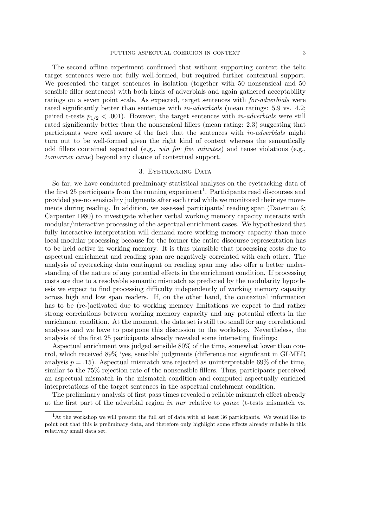The second offline experiment confirmed that without supporting context the telic target sentences were not fully well-formed, but required further contextual support. We presented the target sentences in isolation (together with 50 nonsensical and 50 sensible filler sentences) with both kinds of adverbials and again gathered acceptability ratings on a seven point scale. As expected, target sentences with for-adverbials were rated significantly better than sentences with *in-adverbials* (mean ratings: 5.9 vs. 4.2; paired t-tests  $p_{1/2}$  < .001). However, the target sentences with *in-adverbials* were still rated significantly better than the nonsensical fillers (mean rating: 2.3) suggesting that participants were well aware of the fact that the sentences with in-adverbials might turn out to be well-formed given the right kind of context whereas the semantically odd fillers contained aspectual (e.g., *win for five minutes*) and tense violations (e.g., tomorrow came) beyond any chance of contextual support.

## 3. Eyetracking Data

So far, we have conducted preliminary statistical analyses on the eyetracking data of the first 25 participants from the running experiment<sup>1</sup>. Participants read discourses and provided yes-no sensicality judgments after each trial while we monitored their eye movements during reading. In addition, we assessed participants' reading span (Daneman & Carpenter 1980) to investigate whether verbal working memory capacity interacts with modular/interactive processing of the aspectual enrichment cases. We hypothesized that fully interactive interpretation will demand more working memory capacity than more local modular processing because for the former the entire discourse representation has to be held active in working memory. It is thus plausible that processing costs due to aspectual enrichment and reading span are negatively correlated with each other. The analysis of eyetracking data contingent on reading span may also offer a better understanding of the nature of any potential effects in the enrichment condition. If processing costs are due to a resolvable semantic mismatch as predicted by the modularity hypothesis we expect to find processing difficulty independently of working memory capacity across high and low span readers. If, on the other hand, the contextual information has to be (re-)activated due to working memory limitations we expect to find rather strong correlations between working memory capacity and any potential effects in the enrichment condition. At the moment, the data set is still too small for any correlational analyses and we have to postpone this discussion to the workshop. Nevertheless, the analysis of the first 25 participants already revealed some interesting findings:

Aspectual enrichment was judged sensible 80% of the time, somewhat lower than control, which received 89% 'yes, sensible' judgments (difference not significant in GLMER analysis  $p = .15$ ). Aspectual mismatch was rejected as uninterpretable 69% of the time, similar to the 75% rejection rate of the nonsensible fillers. Thus, participants perceived an aspectual mismatch in the mismatch condition and computed aspectually enriched interpretations of the target sentences in the aspectual enrichment condition.

The preliminary analysis of first pass times revealed a reliable mismatch effect already at the first part of the adverbial region in nur relative to ganze (t-tests mismatch vs.

<sup>&</sup>lt;sup>1</sup>At the workshop we will present the full set of data with at least 36 participants. We would like to point out that this is preliminary data, and therefore only highlight some effects already reliable in this relatively small data set.